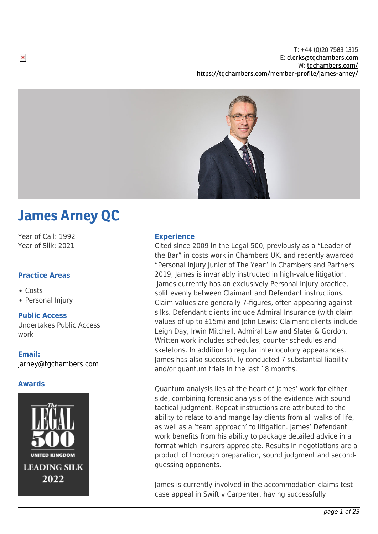T: +44 (0)20 7583 1315 E: [clerks@tgchambers.com](mailto:clerks@tgchambers.com) W: [tgchambers.com/](http://tgchambers.com/) <https://tgchambers.com/member-profile/james-arney/>



# James Arney QC

Year of Call: 1992 Year of Silk: 2021

# **Practice Areas**

- Costs
- Personal Injury

# **Public Access**

Undertakes Public Access work

# **Email:**

[jarney@tgchambers.com](mailto:jarney@tgchambers.com)

# **Awards**



## **Experience**

Cited since 2009 in the Legal 500, previously as a "Leader of the Bar" in costs work in Chambers UK, and recently awarded "Personal Injury Junior of The Year" in Chambers and Partners 2019, James is invariably instructed in high-value litigation. James currently has an exclusively Personal Injury practice, split evenly between Claimant and Defendant instructions. Claim values are generally 7-figures, often appearing against silks. Defendant clients include Admiral Insurance (with claim values of up to £15m) and John Lewis: Claimant clients include Leigh Day, Irwin Mitchell, Admiral Law and Slater & Gordon. Written work includes schedules, counter schedules and skeletons. In addition to regular interlocutory appearances, James has also successfully conducted 7 substantial liability and/or quantum trials in the last 18 months.

Quantum analysis lies at the heart of James' work for either side, combining forensic analysis of the evidence with sound tactical judgment. Repeat instructions are attributed to the ability to relate to and mange lay clients from all walks of life, as well as a 'team approach' to litigation. James' Defendant work benefits from his ability to package detailed advice in a format which insurers appreciate. Results in negotiations are a product of thorough preparation, sound judgment and secondguessing opponents.

James is currently involved in the accommodation claims test case appeal in Swift v Carpenter, having successfully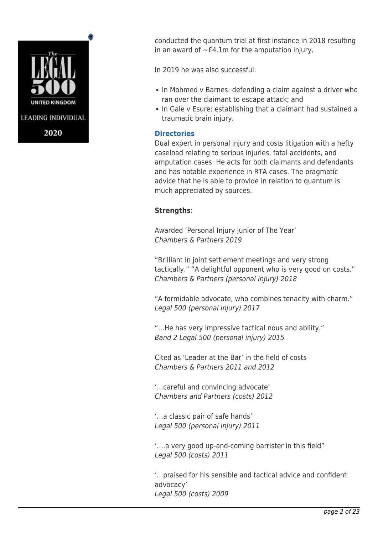

conducted the quantum trial at first instance in 2018 resulting in an award of  $\sim$ £4.1m for the amputation injury.

In 2019 he was also successful:

- In Mohmed v Barnes: defending a claim against a driver who ran over the claimant to escape attack; and
- In Gale v Esure: establishing that a claimant had sustained a traumatic brain injury.

# **Directories**

Dual expert in personal injury and costs litigation with a hefty caseload relating to serious injuries, fatal accidents, and amputation cases. He acts for both claimants and defendants and has notable experience in RTA cases. The pragmatic advice that he is able to provide in relation to quantum is much appreciated by sources.

# **Strengths**:

Awarded 'Personal Injury Junior of The Year' Chambers & Partners 2019

"Brilliant in joint settlement meetings and very strong tactically." "A delightful opponent who is very good on costs." Chambers & Partners (personal injury) 2018

"A formidable advocate, who combines tenacity with charm." Legal 500 (personal injury) 2017

"…He has very impressive tactical nous and ability." Band 2 Legal 500 (personal injury) 2015

Cited as 'Leader at the Bar' in the field of costs Chambers & Partners 2011 and 2012

'…careful and convincing advocate' Chambers and Partners (costs) 2012

'…a classic pair of safe hands' Legal 500 (personal injury) 2011

'….a very good up-and-coming barrister in this field" Legal 500 (costs) 2011

'…praised for his sensible and tactical advice and confident advocacy' Legal 500 (costs) 2009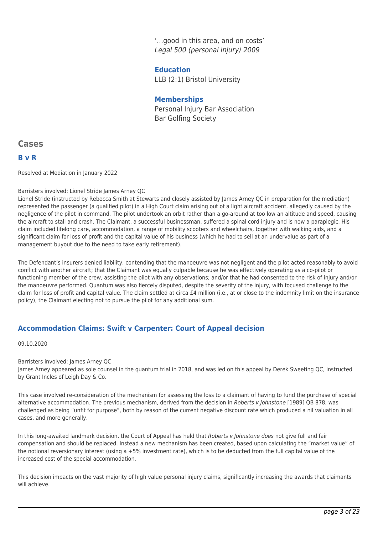'…good in this area, and on costs' Legal 500 (personal injury) 2009

**Education** LLB (2:1) Bristol University

# **Memberships**

Personal Injury Bar Association Bar Golfing Society

# **Cases**

# **B v R**

Resolved at Mediation in January 2022

#### Barristers involved: Lionel Stride James Arney QC

Lionel Stride (instructed by Rebecca Smith at Stewarts and closely assisted by James Arney QC in preparation for the mediation) represented the passenger (a qualified pilot) in a High Court claim arising out of a light aircraft accident, allegedly caused by the negligence of the pilot in command. The pilot undertook an orbit rather than a go-around at too low an altitude and speed, causing the aircraft to stall and crash. The Claimant, a successful businessman, suffered a spinal cord injury and is now a paraplegic. His claim included lifelong care, accommodation, a range of mobility scooters and wheelchairs, together with walking aids, and a significant claim for loss of profit and the capital value of his business (which he had to sell at an undervalue as part of a management buyout due to the need to take early retirement).

The Defendant's insurers denied liability, contending that the manoeuvre was not negligent and the pilot acted reasonably to avoid conflict with another aircraft; that the Claimant was equally culpable because he was effectively operating as a co-pilot or functioning member of the crew, assisting the pilot with any observations; and/or that he had consented to the risk of injury and/or the manoeuvre performed. Quantum was also fiercely disputed, despite the severity of the injury, with focused challenge to the claim for loss of profit and capital value. The claim settled at circa £4 million (i.e., at or close to the indemnity limit on the insurance policy), the Claimant electing not to pursue the pilot for any additional sum.

# **Accommodation Claims: Swift v Carpenter: Court of Appeal decision**

09.10.2020

Barristers involved: James Arney QC

James Arney appeared as sole counsel in the quantum trial in 2018, and was led on this appeal by Derek Sweeting QC, instructed by Grant Incles of Leigh Day & Co.

This case involved re-consideration of the mechanism for assessing the loss to a claimant of having to fund the purchase of special alternative accommodation. The previous mechanism, derived from the decision in Roberts v Johnstone [1989] QB 878, was challenged as being "unfit for purpose", both by reason of the current negative discount rate which produced a nil valuation in all cases, and more generally.

In this long-awaited landmark decision, the Court of Appeal has held that Roberts v Johnstone does not give full and fair compensation and should be replaced. Instead a new mechanism has been created, based upon calculating the "market value" of the notional reversionary interest (using a +5% investment rate), which is to be deducted from the full capital value of the increased cost of the special accommodation.

This decision impacts on the vast majority of high value personal injury claims, significantly increasing the awards that claimants will achieve.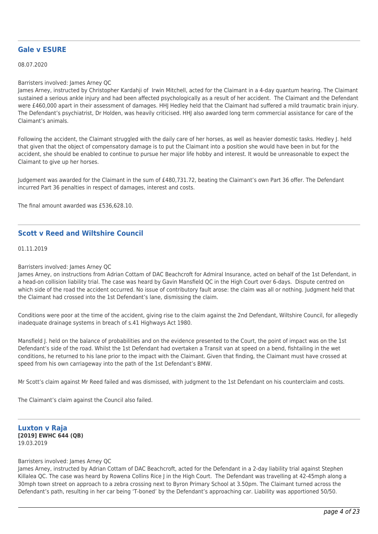# **Gale v ESURE**

08.07.2020

#### Barristers involved: James Arney QC

James Arney, instructed by Christopher Kardahji of Irwin Mitchell, acted for the Claimant in a 4-day quantum hearing. The Claimant sustained a serious ankle injury and had been affected psychologically as a result of her accident. The Claimant and the Defendant were £460,000 apart in their assessment of damages. HHJ Hedley held that the Claimant had suffered a mild traumatic brain injury. The Defendant's psychiatrist, Dr Holden, was heavily criticised. HHJ also awarded long term commercial assistance for care of the Claimant's animals.

Following the accident, the Claimant struggled with the daily care of her horses, as well as heavier domestic tasks. Hedley J. held that given that the object of compensatory damage is to put the Claimant into a position she would have been in but for the accident, she should be enabled to continue to pursue her major life hobby and interest. It would be unreasonable to expect the Claimant to give up her horses.

Judgement was awarded for the Claimant in the sum of £480,731.72, beating the Claimant's own Part 36 offer. The Defendant incurred Part 36 penalties in respect of damages, interest and costs.

The final amount awarded was £536,628.10.

# **Scott v Reed and Wiltshire Council**

01.11.2019

#### Barristers involved: James Arney QC

James Arney, on instructions from Adrian Cottam of DAC Beachcroft for Admiral Insurance, acted on behalf of the 1st Defendant, in a head-on collision liability trial. The case was heard by Gavin Mansfield QC in the High Court over 6-days. Dispute centred on which side of the road the accident occurred. No issue of contributory fault arose: the claim was all or nothing. Judgment held that the Claimant had crossed into the 1st Defendant's lane, dismissing the claim.

Conditions were poor at the time of the accident, giving rise to the claim against the 2nd Defendant, Wiltshire Council, for allegedly inadequate drainage systems in breach of s.41 Highways Act 1980.

Mansfield J. held on the balance of probabilities and on the evidence presented to the Court, the point of impact was on the 1st Defendant's side of the road. Whilst the 1st Defendant had overtaken a Transit van at speed on a bend, fishtailing in the wet conditions, he returned to his lane prior to the impact with the Claimant. Given that finding, the Claimant must have crossed at speed from his own carriageway into the path of the 1st Defendant's BMW.

Mr Scott's claim against Mr Reed failed and was dismissed, with judgment to the 1st Defendant on his counterclaim and costs.

The Claimant's claim against the Council also failed.

#### **Luxton v Raja [2019] EWHC 644 (QB)** 19.03.2019

#### Barristers involved: James Arney QC

James Arney, instructed by Adrian Cottam of DAC Beachcroft, acted for the Defendant in a 2-day liability trial against Stephen Killalea QC. The case was heard by Rowena Collins Rice J in the High Court. The Defendant was travelling at 42-45mph along a 30mph town street on approach to a zebra crossing next to Byron Primary School at 3.50pm. The Claimant turned across the Defendant's path, resulting in her car being 'T-boned' by the Defendant's approaching car. Liability was apportioned 50/50.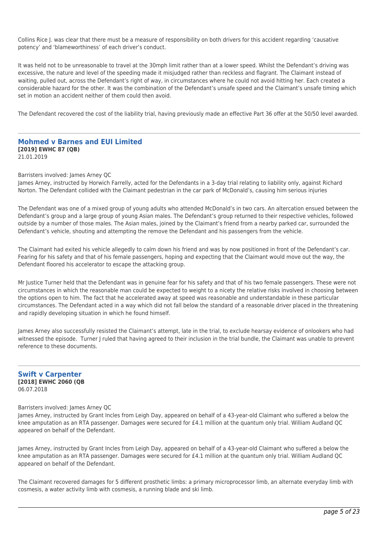Collins Rice J. was clear that there must be a measure of responsibility on both drivers for this accident regarding 'causative potency' and 'blameworthiness' of each driver's conduct.

It was held not to be unreasonable to travel at the 30mph limit rather than at a lower speed. Whilst the Defendant's driving was excessive, the nature and level of the speeding made it misjudged rather than reckless and flagrant. The Claimant instead of waiting, pulled out, across the Defendant's right of way, in circumstances where he could not avoid hitting her. Each created a considerable hazard for the other. It was the combination of the Defendant's unsafe speed and the Claimant's unsafe timing which set in motion an accident neither of them could then avoid.

The Defendant recovered the cost of the liability trial, having previously made an effective Part 36 offer at the 50/50 level awarded.

#### **Mohmed v Barnes and EUI Limited [2019] EWHC 87 (QB)** 21.01.2019

Barristers involved: James Arney QC

James Arney, instructed by Horwich Farrelly, acted for the Defendants in a 3-day trial relating to liability only, against Richard Norton. The Defendant collided with the Claimant pedestrian in the car park of McDonald's, causing him serious injuries

The Defendant was one of a mixed group of young adults who attended McDonald's in two cars. An altercation ensued between the Defendant's group and a large group of young Asian males. The Defendant's group returned to their respective vehicles, followed outside by a number of those males. The Asian males, joined by the Claimant's friend from a nearby parked car, surrounded the Defendant's vehicle, shouting and attempting the remove the Defendant and his passengers from the vehicle.

The Claimant had exited his vehicle allegedly to calm down his friend and was by now positioned in front of the Defendant's car. Fearing for his safety and that of his female passengers, hoping and expecting that the Claimant would move out the way, the Defendant floored his accelerator to escape the attacking group.

Mr Justice Turner held that the Defendant was in genuine fear for his safety and that of his two female passengers. These were not circumstances in which the reasonable man could be expected to weight to a nicety the relative risks involved in choosing between the options open to him. The fact that he accelerated away at speed was reasonable and understandable in these particular circumstances. The Defendant acted in a way which did not fall below the standard of a reasonable driver placed in the threatening and rapidly developing situation in which he found himself.

James Arney also successfully resisted the Claimant's attempt, late in the trial, to exclude hearsay evidence of onlookers who had witnessed the episode. Turner J ruled that having agreed to their inclusion in the trial bundle, the Claimant was unable to prevent reference to these documents.

#### **Swift v Carpenter [2018] EWHC 2060 (QB** 06.07.2018

Barristers involved: James Arney QC

James Arney, instructed by Grant Incles from Leigh Day, appeared on behalf of a 43-year-old Claimant who suffered a below the knee amputation as an RTA passenger. Damages were secured for £4.1 million at the quantum only trial. William Audland QC appeared on behalf of the Defendant.

James Arney, instructed by Grant Incles from Leigh Day, appeared on behalf of a 43-year-old Claimant who suffered a below the knee amputation as an RTA passenger. Damages were secured for £4.1 million at the quantum only trial. William Audland QC appeared on behalf of the Defendant.

The Claimant recovered damages for 5 different prosthetic limbs: a primary microprocessor limb, an alternate everyday limb with cosmesis, a water activity limb with cosmesis, a running blade and ski limb.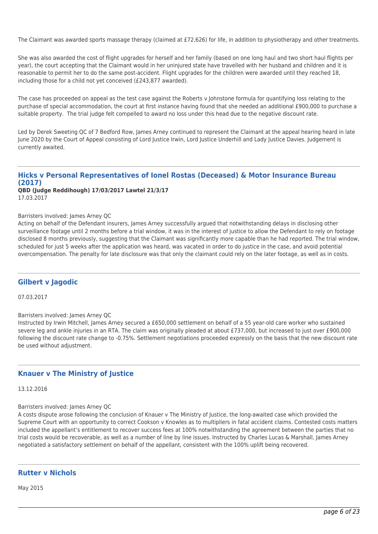The Claimant was awarded sports massage therapy (claimed at £72,626) for life, in addition to physiotherapy and other treatments.

She was also awarded the cost of flight upgrades for herself and her family (based on one long haul and two short haul flights per year), the court accepting that the Claimant would in her uninjured state have travelled with her husband and children and it is reasonable to permit her to do the same post-accident. Flight upgrades for the children were awarded until they reached 18, including those for a child not yet conceived (£243,877 awarded).

The case has proceeded on appeal as the test case against the Roberts v Johnstone formula for quantifying loss relating to the purchase of special accommodation, the court at first instance having found that she needed an additional £900,000 to purchase a suitable property. The trial judge felt compelled to award no loss under this head due to the negative discount rate.

Led by Derek Sweeting QC of 7 Bedford Row, James Arney continued to represent the Claimant at the appeal hearing heard in late June 2020 by the Court of Appeal consisting of Lord Justice Irwin, Lord Justice Underhill and Lady Justice Davies. Judgement is currently awaited.

# **Hicks v Personal Representatives of Ionel Rostas (Deceased) & Motor Insurance Bureau (2017)**

**QBD (Judge Reddihough) 17/03/2017 Lawtel 21/3/17** 17.03.2017

#### Barristers involved: James Arney QC

Acting on behalf of the Defendant insurers, James Arney successfully argued that notwithstanding delays in disclosing other surveillance footage until 2 months before a trial window, it was in the interest of justice to allow the Defendant to rely on footage disclosed 8 months previously, suggesting that the Claimant was significantly more capable than he had reported. The trial window, scheduled for just 5 weeks after the application was heard, was vacated in order to do justice in the case, and avoid potential overcompensation. The penalty for late disclosure was that only the claimant could rely on the later footage, as well as in costs.

# **Gilbert v Jagodic**

07.03.2017

Barristers involved: James Arney QC

Instructed by Irwin Mitchell, James Arney secured a £650,000 settlement on behalf of a 55 year-old care worker who sustained severe leg and ankle injuries in an RTA. The claim was originally pleaded at about £737,000, but increased to just over £900,000 following the discount rate change to -0.75%. Settlement negotiations proceeded expressly on the basis that the new discount rate be used without adjustment.

# **Knauer v The Ministry of Justice**

13.12.2016

Barristers involved: James Arney QC

A costs dispute arose following the conclusion of Knauer v The Ministry of Justice, the long-awaited case which provided the Supreme Court with an opportunity to correct Cookson v Knowles as to multipliers in fatal accident claims. Contested costs matters included the appellant's entitlement to recover success fees at 100% notwithstanding the agreement between the parties that no trial costs would be recoverable, as well as a number of line by line issues. Instructed by Charles Lucas & Marshall, James Arney negotiated a satisfactory settlement on behalf of the appellant, consistent with the 100% uplift being recovered.

# **Rutter v Nichols**

May 2015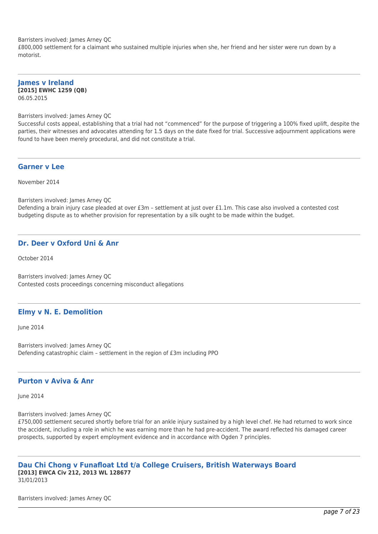Barristers involved: James Arney QC

£800,000 settlement for a claimant who sustained multiple injuries when she, her friend and her sister were run down by a motorist.

**James v Ireland [2015] EWHC 1259 (QB)** 06.05.2015

Barristers involved: James Arney QC

Successful costs appeal, establishing that a trial had not "commenced" for the purpose of triggering a 100% fixed uplift, despite the parties, their witnesses and advocates attending for 1.5 days on the date fixed for trial. Successive adjournment applications were found to have been merely procedural, and did not constitute a trial.

#### **Garner v Lee**

November 2014

Barristers involved: James Arney QC

Defending a brain injury case pleaded at over £3m – settlement at just over £1.1m. This case also involved a contested cost budgeting dispute as to whether provision for representation by a silk ought to be made within the budget.

# **Dr. Deer v Oxford Uni & Anr**

October 2014

Barristers involved: James Arney QC Contested costs proceedings concerning misconduct allegations

# **Elmy v N. E. Demolition**

June 2014

Barristers involved: James Arney QC Defending catastrophic claim – settlement in the region of £3m including PPO

# **Purton v Aviva & Anr**

June 2014

Barristers involved: James Arney QC

£750,000 settlement secured shortly before trial for an ankle injury sustained by a high level chef. He had returned to work since the accident, including a role in which he was earning more than he had pre-accident. The award reflected his damaged career prospects, supported by expert employment evidence and in accordance with Ogden 7 principles.

#### **Dau Chi Chong v Funafloat Ltd t/a College Cruisers, British Waterways Board [2013] EWCA Civ 212, 2013 WL 128677** 31/01/2013

Barristers involved: James Arney QC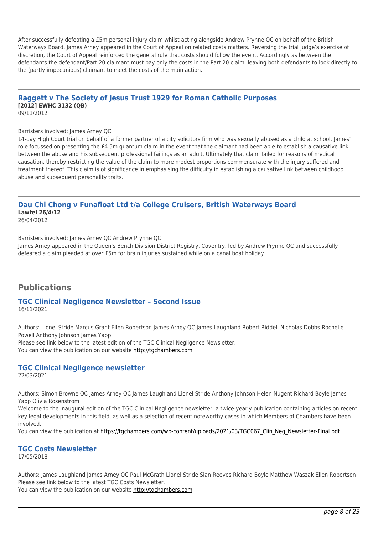After successfully defeating a £5m personal injury claim whilst acting alongside Andrew Prynne QC on behalf of the British Waterways Board, James Arney appeared in the Court of Appeal on related costs matters. Reversing the trial judge's exercise of discretion, the Court of Appeal reinforced the general rule that costs should follow the event. Accordingly as between the defendants the defendant/Part 20 claimant must pay only the costs in the Part 20 claim, leaving both defendants to look directly to the (partly impecunious) claimant to meet the costs of the main action.

#### **Raggett v The Society of Jesus Trust 1929 for Roman Catholic Purposes [2012] EWHC 3132 (QB)** 09/11/2012

#### Barristers involved: James Arney QC

14-day High Court trial on behalf of a former partner of a city solicitors firm who was sexually abused as a child at school. James' role focussed on presenting the £4.5m quantum claim in the event that the claimant had been able to establish a causative link between the abuse and his subsequent professional failings as an adult. Ultimately that claim failed for reasons of medical causation, thereby restricting the value of the claim to more modest proportions commensurate with the injury suffered and treatment thereof. This claim is of significance in emphasising the difficulty in establishing a causative link between childhood abuse and subsequent personality traits.

# **Dau Chi Chong v Funafloat Ltd t/a College Cruisers, British Waterways Board Lawtel 26/4/12**

26/04/2012

Barristers involved: James Arney QC Andrew Prynne QC

James Arney appeared in the Queen's Bench Division District Registry, Coventry, led by Andrew Prynne QC and successfully defeated a claim pleaded at over £5m for brain injuries sustained while on a canal boat holiday.

# **Publications**

#### **TGC Clinical Negligence Newsletter – Second Issue** 16/11/2021

Authors: Lionel Stride Marcus Grant Ellen Robertson James Arney QC James Laughland Robert Riddell Nicholas Dobbs Rochelle Powell Anthony Johnson James Yapp Please see link below to the latest edition of the TGC Clinical Negligence Newsletter.

You can view the publication on our website [http://tgchambers.com](https://tgchambers.com/wp-content/uploads/2021/11/TGC073_Clin_Neg_Newsletter_Issue2_v3.pdf)

#### **TGC Clinical Negligence newsletter**

22/03/2021

Authors: Simon Browne QC James Arney QC James Laughland Lionel Stride Anthony Johnson Helen Nugent Richard Boyle James Yapp Olivia Rosenstrom

Welcome to the inaugural edition of the TGC Clinical Negligence newsletter, a twice-yearly publication containing articles on recent key legal developments in this field, as well as a selection of recent noteworthy cases in which Members of Chambers have been involved.

You can view the publication at [https://tgchambers.com/wp-content/uploads/2021/03/TGC067\\_Clin\\_Neg\\_Newsletter-Final.pdf](https://tgchambers.com/wp-content/uploads/2021/03/TGC067_Clin_Neg_Newsletter-Final.pdf)

# **TGC Costs Newsletter**

17/05/2018

Authors: James Laughland James Arney QC Paul McGrath Lionel Stride Sian Reeves Richard Boyle Matthew Waszak Ellen Robertson Please see link below to the latest TGC Costs Newsletter. You can view the publication on our website [http://tgchambers.com](https://tgchambers.com/wp-content/uploads/2018/05/TGC039_Costs_Newsletter_v2.pdf)

page 8 of  $23$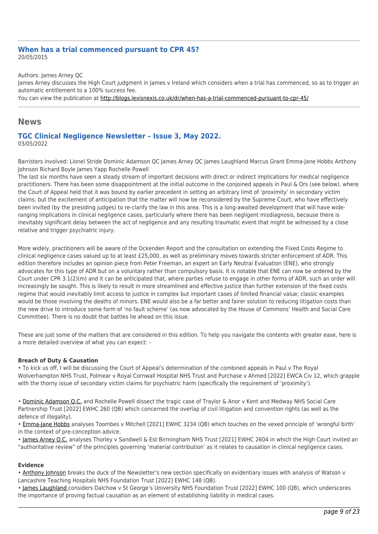#### **When has a trial commenced pursuant to CPR 45?** 20/05/2015

Authors: James Arney QC

James Arney discusses the High Court judgment in James v Ireland which considers when a trial has commenced, so as to trigger an automatic entitlement to a 100% success fee.

You can view the publication at<http://blogs.lexisnexis.co.uk/dr/when-has-a-trial-commenced-pursuant-to-cpr-45/>

# **News**

#### **TGC Clinical Negligence Newsletter – Issue 3, May 2022.** 03/05/2022

Barristers involved: Lionel Stride Dominic Adamson QC James Arney QC James Laughland Marcus Grant Emma-Jane Hobbs Anthony Johnson Richard Boyle James Yapp Rochelle Powell

The last six months have seen a steady stream of important decisions with direct or indirect implications for medical negligence practitioners. There has been some disappointment at the initial outcome in the conjoined appeals in Paul & Ors (see below), where the Court of Appeal held that it was bound by earlier precedent in setting an arbitrary limit of 'proximity' in secondary victim claims; but the excitement of anticipation that the matter will now be reconsidered by the Supreme Court, who have effectively been invited (by the presiding judges) to re-clarify the law in this area. This is a long-awaited development that will have wideranging implications in clinical negligence cases, particularly where there has been negligent misdiagnosis, because there is inevitably significant delay between the act of negligence and any resulting traumatic event that might be witnessed by a close relative and trigger psychiatric injury.

More widely, practitioners will be aware of the Ockenden Report and the consultation on extending the Fixed Costs Regime to clinical negligence cases valued up to at least £25,000, as well as preliminary moves towards stricter enforcement of ADR. This edition therefore includes an opinion piece from Peter Freeman, an expert on Early Neutral Evaluation (ENE), who strongly advocates for this type of ADR but on a voluntary rather than compulsory basis. It is notable that ENE can now be ordered by the Court under CPR 3.1(2)(m) and it can be anticipated that, where parties refuse to engage in other forms of ADR, such an order will increasingly be sought. This is likely to result in more streamlined and effective justice than further extension of the fixed costs regime that would inevitably limit access to justice in complex but important cases of limited financial value; classic examples would be those involving the deaths of minors. ENE would also be a far better and fairer solution to reducing litigation costs than the new drive to introduce some form of 'no fault scheme' (as now advocated by the House of Commons' Health and Social Care Committee). There is no doubt that battles lie ahead on this issue.

These are just some of the matters that are considered in this edition. To help you navigate the contents with greater ease, here is a more detailed overview of what you can expect: –

#### **Breach of Duty & Causation**

• To kick us off, I will be discussing the Court of Appeal's determination of the combined appeals in Paul v The Royal Wolverhampton NHS Trust, Polmear v Royal Cornwall Hospital NHS Trust and Purchase v Ahmed [2022] EWCA Civ 12, which grapple with the thorny issue of secondary victim claims for psychiatric harm (specifically the requirement of 'proximity').

• [Dominic Adamson Q.C.](https://tgchambers.com/member-profile/dominic-adamson/) and Rochelle Powell dissect the tragic case of Traylor & Anor v Kent and Medway NHS Social Care Partnership Trust [2022] EWHC 260 (QB) which concerned the overlap of civil litigation and convention rights (as well as the defence of illegality).

• [Emma-Jane Hobbs](https://tgchambers.com/member-profile/emma-jane-hobbs/) analyses Toombes v Mitchell [2021] EWHC 3234 (QB) which touches on the vexed principle of 'wrongful birth' in the context of pre-conception advice.

• [James Arney Q.C.](https://tgchambers.com/member-profile/james-arney/) analyses Thorley v Sandwell & Est Birmingham NHS Trust [2021] EWHC 2604 in which the High Court invited an "authoritative review" of the principles governing 'material contribution' as it relates to causation in clinical negligence cases.

#### **Evidence**

• [Anthony Johnson](https://tgchambers.com/member-profile/anthony-johnson/) breaks the duck of the Newsletter's new section specifically on evidentiary issues with analysis of Watson v Lancashire Teaching Hospitals NHS Foundation Trust [2022] EWHC 148 (QB).

• [James Laughland c](https://tgchambers.com/member-profile/james-laughland/)onsiders Dalchow v St George's University NHS Foundation Trust [2022] EWHC 100 (QB), which underscores the importance of proving factual causation as an element of establishing liability in medical cases.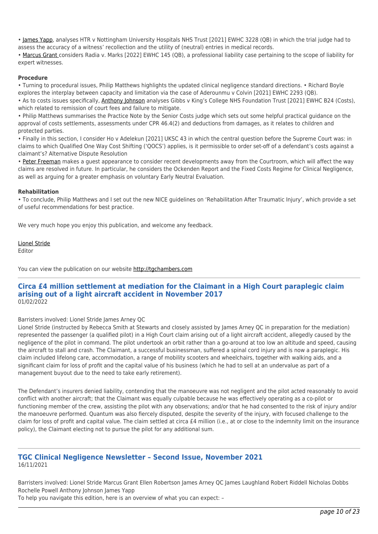• [James Yapp,](https://tgchambers.com/member-profile/james-yapp/) analyses HTR v Nottingham University Hospitals NHS Trust [2021] EWHC 3228 (QB) in which the trial judge had to assess the accuracy of a witness' recollection and the utility of (neutral) entries in medical records.

• [Marcus Grant c](https://tgchambers.com/member-profile/marcus-grant/)onsiders Radia v. Marks [2022] EWHC 145 (QB), a professional liability case pertaining to the scope of liability for expert witnesses.

#### **Procedure**

• Turning to procedural issues, Philip Matthews highlights the updated clinical negligence standard directions. • Richard Boyle explores the interplay between capacity and limitation via the case of Aderounmu v Colvin [2021] EWHC 2293 (QB).

• As to costs issues specifically, [Anthony Johnson](https://tgchambers.com/member-profile/anthony-johnson/) analyses Gibbs v King's College NHS Foundation Trust [2021] EWHC B24 (Costs), which related to remission of court fees and failure to mitigate.

• Philip Matthews summarises the Practice Note by the Senior Costs judge which sets out some helpful practical guidance on the approval of costs settlements, assessments under CPR 46.4(2) and deductions from damages, as it relates to children and protected parties.

• Finally in this section, I consider Ho v Adelekun [2021] UKSC 43 in which the central question before the Supreme Court was: in claims to which Qualified One Way Cost Shifting ('QOCS') applies, is it permissible to order set-off of a defendant's costs against a claimant's? Alternative Dispute Resolution

• [Peter Freeman](https://tgchambers.com/member-profile/peter-freeman/) makes a guest appearance to consider recent developments away from the Courtroom, which will affect the way claims are resolved in future. In particular, he considers the Ockenden Report and the Fixed Costs Regime for Clinical Negligence, as well as arguing for a greater emphasis on voluntary Early Neutral Evaluation.

#### **Rehabilitation**

• To conclude, Philip Matthews and I set out the new NICE guidelines on 'Rehabilitation After Traumatic Injury', which provide a set of useful recommendations for best practice.

We very much hope you enjoy this publication, and welcome any feedback.

[Lionel Stride](https://tgchambers.com/member-profile/lionel-stride/)

Editor

You can view the publication on our website [http://tgchambers.com](https://tgchambers.com/wp-content/uploads/2022/05/TGC_Clin_Neg_Newsletter_Issue3_v3b.pdf)

#### **Circa £4 million settlement at mediation for the Claimant in a High Court paraplegic claim arising out of a light aircraft accident in November 2017** 01/02/2022

#### Barristers involved: Lionel Stride James Arney QC

Lionel Stride (instructed by Rebecca Smith at Stewarts and closely assisted by James Arney QC in preparation for the mediation) represented the passenger (a qualified pilot) in a High Court claim arising out of a light aircraft accident, allegedly caused by the negligence of the pilot in command. The pilot undertook an orbit rather than a go-around at too low an altitude and speed, causing the aircraft to stall and crash. The Claimant, a successful businessman, suffered a spinal cord injury and is now a paraplegic. His claim included lifelong care, accommodation, a range of mobility scooters and wheelchairs, together with walking aids, and a significant claim for loss of profit and the capital value of his business (which he had to sell at an undervalue as part of a management buyout due to the need to take early retirement).

The Defendant's insurers denied liability, contending that the manoeuvre was not negligent and the pilot acted reasonably to avoid conflict with another aircraft; that the Claimant was equally culpable because he was effectively operating as a co-pilot or functioning member of the crew, assisting the pilot with any observations; and/or that he had consented to the risk of injury and/or the manoeuvre performed. Quantum was also fiercely disputed, despite the severity of the injury, with focused challenge to the claim for loss of profit and capital value. The claim settled at circa £4 million (i.e., at or close to the indemnity limit on the insurance policy), the Claimant electing not to pursue the pilot for any additional sum.

#### **TGC Clinical Negligence Newsletter – Second Issue, November 2021** 16/11/2021

Barristers involved: Lionel Stride Marcus Grant Ellen Robertson James Arney QC James Laughland Robert Riddell Nicholas Dobbs Rochelle Powell Anthony Johnson James Yapp

To help you navigate this edition, here is an overview of what you can expect: –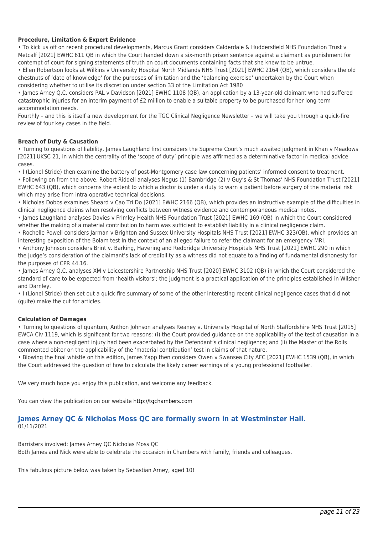#### **Procedure, Limitation & Expert Evidence**

• To kick us off on recent procedural developments, Marcus Grant considers Calderdale & Huddersfield NHS Foundation Trust v Metcalf [2021] EWHC 611 QB in which the Court handed down a six-month prison sentence against a claimant as punishment for contempt of court for signing statements of truth on court documents containing facts that she knew to be untrue.

• Ellen Robertson looks at Wilkins v University Hospital North Midlands NHS Trust [2021] EWHC 2164 (QB), which considers the old chestnuts of 'date of knowledge' for the purposes of limitation and the 'balancing exercise' undertaken by the Court when considering whether to utilise its discretion under section 33 of the Limitation Act 1980

• James Arney Q.C. considers PAL v Davidson [2021] EWHC 1108 (QB), an application by a 13-year-old claimant who had suffered catastrophic injuries for an interim payment of £2 million to enable a suitable property to be purchased for her long-term accommodation needs.

Fourthly – and this is itself a new development for the TGC Clinical Negligence Newsletter – we will take you through a quick-fire review of four key cases in the field.

#### **Breach of Duty & Causation**

• Turning to questions of liability, James Laughland first considers the Supreme Court's much awaited judgment in Khan v Meadows [2021] UKSC 21, in which the centrality of the 'scope of duty' principle was affirmed as a determinative factor in medical advice cases.

• I (Lionel Stride) then examine the battery of post-Montgomery case law concerning patients' informed consent to treatment.

• Following on from the above, Robert Riddell analyses Negus (1) Bambridge (2) v Guy's & St Thomas' NHS Foundation Trust [2021] EWHC 643 (QB), which concerns the extent to which a doctor is under a duty to warn a patient before surgery of the material risk which may arise from intra-operative technical decisions.

• Nicholas Dobbs examines Sheard v Cao Tri Do [2021] EWHC 2166 (QB), which provides an instructive example of the difficulties in clinical negligence claims when resolving conflicts between witness evidence and contemporaneous medical notes.

• James Laughland analyses Davies v Frimley Health NHS Foundation Trust [2021] EWHC 169 (QB) in which the Court considered whether the making of a material contribution to harm was sufficient to establish liability in a clinical negligence claim.

• Rochelle Powell considers Jarman v Brighton and Sussex University Hospitals NHS Trust [2021] EWHC 323(QB), which provides an interesting exposition of the Bolam test in the context of an alleged failure to refer the claimant for an emergency MRI.

• Anthony Johnson considers Brint v. Barking, Havering and Redbridge University Hospitals NHS Trust [2021] EWHC 290 in which the Judge's consideration of the claimant's lack of credibility as a witness did not equate to a finding of fundamental dishonesty for the purposes of CPR 44.16.

• James Arney Q.C. analyses XM v Leicestershire Partnership NHS Trust [2020] EWHC 3102 (QB) in which the Court considered the standard of care to be expected from 'health visitors'; the judgment is a practical application of the principles established in Wilsher and Darnley.

• I (Lionel Stride) then set out a quick-fire summary of some of the other interesting recent clinical negligence cases that did not (quite) make the cut for articles.

#### **Calculation of Damages**

• Turning to questions of quantum, Anthon Johnson analyses Reaney v. University Hospital of North Staffordshire NHS Trust [2015] EWCA Civ 1119, which is significant for two reasons: (i) the Court provided guidance on the applicability of the test of causation in a case where a non-negligent injury had been exacerbated by the Defendant's clinical negligence; and (ii) the Master of the Rolls commented obiter on the applicability of the 'material contribution' test in claims of that nature.

• Blowing the final whistle on this edition, James Yapp then considers Owen v Swansea City AFC [2021] EWHC 1539 (QB), in which the Court addressed the question of how to calculate the likely career earnings of a young professional footballer.

We very much hope you enjoy this publication, and welcome any feedback.

You can view the publication on our website [http://tgchambers.com](https://tgchambers.com/wp-content/uploads/2021/11/TGC073_Clin_Neg_Newsletter_Issue2_v3.pdf)

# **James Arney QC & Nicholas Moss QC are formally sworn in at Westminster Hall.** 01/11/2021

Barristers involved: James Arney QC Nicholas Moss QC Both James and Nick were able to celebrate the occasion in Chambers with family, friends and colleagues.

This fabulous picture below was taken by Sebastian Arney, aged 10!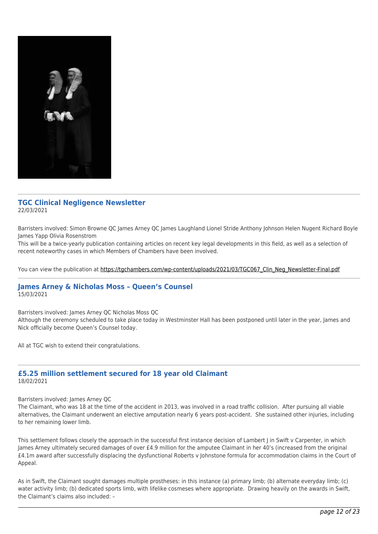

## **TGC Clinical Negligence Newsletter** 22/03/2021

Barristers involved: Simon Browne QC James Arney QC James Laughland Lionel Stride Anthony Johnson Helen Nugent Richard Boyle James Yapp Olivia Rosenstrom

This will be a twice-yearly publication containing articles on recent key legal developments in this field, as well as a selection of recent noteworthy cases in which Members of Chambers have been involved.

You can view the publication at [https://tgchambers.com/wp-content/uploads/2021/03/TGC067\\_Clin\\_Neg\\_Newsletter-Final.pdf](https://tgchambers.com/wp-content/uploads/2021/03/TGC067_Clin_Neg_Newsletter-Final.pdf)

#### **James Arney & Nicholas Moss – Queen's Counsel** 15/03/2021

Barristers involved: James Arney QC Nicholas Moss QC

Although the ceremony scheduled to take place today in Westminster Hall has been postponed until later in the year, James and Nick officially become Queen's Counsel today.

All at TGC wish to extend their congratulations.

#### **£5.25 million settlement secured for 18 year old Claimant** 18/02/2021

#### Barristers involved: James Arney QC

The Claimant, who was 18 at the time of the accident in 2013, was involved in a road traffic collision. After pursuing all viable alternatives, the Claimant underwent an elective amputation nearly 6 years post-accident. She sustained other injuries, including to her remaining lower limb.

This settlement follows closely the approach in the successful first instance decision of Lambert J in Swift v Carpenter, in which James Arney ultimately secured damages of over £4.9 million for the amputee Claimant in her 40's (increased from the original £4.1m award after successfully displacing the dysfunctional Roberts v Johnstone formula for accommodation claims in the Court of Appeal.

As in Swift, the Claimant sought damages multiple prostheses: in this instance (a) primary limb; (b) alternate everyday limb; (c) water activity limb; (b) dedicated sports limb, with lifelike cosmeses where appropriate. Drawing heavily on the awards in Swift, the Claimant's claims also included: –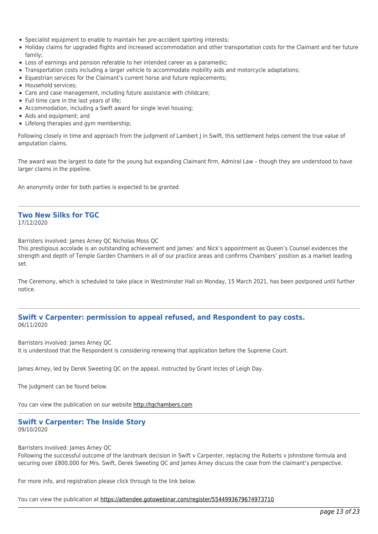- Specialist equipment to enable to maintain her pre-accident sporting interests;
- Holiday claims for upgraded flights and increased accommodation and other transportation costs for the Claimant and her future family;
- Loss of earnings and pension referable to her intended career as a paramedic;
- Transportation costs including a larger vehicle to accommodate mobility aids and motorcycle adaptations;
- Equestrian services for the Claimant's current horse and future replacements;
- Household services:
- Care and case management, including future assistance with childcare;
- Full time care in the last years of life;
- Accommodation, including a Swift award for single level housing;
- Aids and equipment; and
- Lifelong therapies and gym membership;

Following closely in time and approach from the judgment of Lambert I in Swift, this settlement helps cement the true value of amputation claims.

The award was the largest to date for the young but expanding Claimant firm, Admiral Law – though they are understood to have larger claims in the pipeline.

An anonymity order for both parties is expected to be granted.

# **Two New Silks for TGC**

17/12/2020

Barristers involved: James Arney QC Nicholas Moss QC

This prestigious accolade is an outstanding achievement and James' and Nick's appointment as Queen's Counsel evidences the strength and depth of Temple Garden Chambers in all of our practice areas and confirms Chambers' position as a market leading set.

The Ceremony, which is scheduled to take place in Westminster Hall on Monday, 15 March 2021, has been postponed until further notice.

#### **Swift v Carpenter: permission to appeal refused, and Respondent to pay costs.** 06/11/2020

Barristers involved: James Arney QC

It is understood that the Respondent is considering renewing that application before the Supreme Court.

James Arney, led by Derek Sweeting QC on the appeal, instructed by Grant Incles of Leigh Day.

The Judgment can be found below.

You can view the publication on our website [http://tgchambers.com](https://tgchambers.com/wp-content/uploads/2020/11/Swift-v-Carpenter-Judgment-on-Costs-Approved-Final.pdf)

# **Swift v Carpenter: The Inside Story**

09/10/2020

#### Barristers involved: James Arney QC

Following the successful outcome of the landmark decision in Swift v Carpenter, replacing the Roberts v Johnstone formula and securing over £800,000 for Mrs. Swift, Derek Sweeting QC and James Arney discuss the case from the claimant's perspective.

For more info, and registration please click through to the link below.

You can view the publication at<https://attendee.gotowebinar.com/register/5544993679674973710>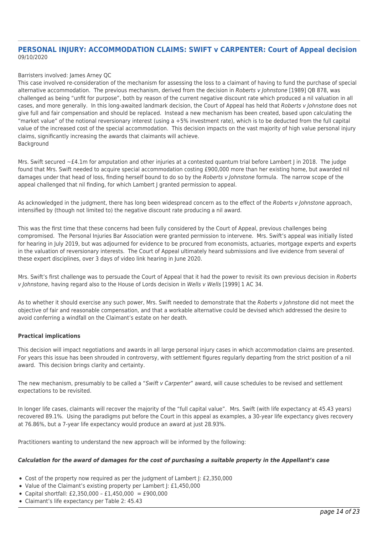#### **PERSONAL INJURY: ACCOMMODATION CLAIMS: SWIFT v CARPENTER: Court of Appeal decision** 09/10/2020

#### Barristers involved: James Arney QC

This case involved re-consideration of the mechanism for assessing the loss to a claimant of having to fund the purchase of special alternative accommodation. The previous mechanism, derived from the decision in Roberts v Johnstone [1989] QB 878, was challenged as being "unfit for purpose", both by reason of the current negative discount rate which produced a nil valuation in all cases, and more generally. In this long-awaited landmark decision, the Court of Appeal has held that Roberts v Johnstone does not give full and fair compensation and should be replaced. Instead a new mechanism has been created, based upon calculating the "market value" of the notional reversionary interest (using a +5% investment rate), which is to be deducted from the full capital value of the increased cost of the special accommodation. This decision impacts on the vast majority of high value personal injury claims, significantly increasing the awards that claimants will achieve. **Background** 

Mrs. Swift secured ~£4.1m for amputation and other injuries at a contested quantum trial before Lambert J in 2018. The judge found that Mrs. Swift needed to acquire special accommodation costing £900,000 more than her existing home, but awarded nil damages under that head of loss, finding herself bound to do so by the Roberts v Johnstone formula. The narrow scope of the appeal challenged that nil finding, for which Lambert J granted permission to appeal.

As acknowledged in the judgment, there has long been widespread concern as to the effect of the Roberts v Johnstone approach, intensified by (though not limited to) the negative discount rate producing a nil award.

This was the first time that these concerns had been fully considered by the Court of Appeal, previous challenges being compromised. The Personal Injuries Bar Association were granted permission to intervene. Mrs. Swift's appeal was initially listed for hearing in July 2019, but was adjourned for evidence to be procured from economists, actuaries, mortgage experts and experts in the valuation of reversionary interests. The Court of Appeal ultimately heard submissions and live evidence from several of these expert disciplines, over 3 days of video link hearing in June 2020.

Mrs. Swift's first challenge was to persuade the Court of Appeal that it had the power to revisit its own previous decision in Roberts v Johnstone, having regard also to the House of Lords decision in Wells v Wells [1999] 1 AC 34.

As to whether it should exercise any such power. Mrs. Swift needed to demonstrate that the Roberts y lohnstone did not meet the objective of fair and reasonable compensation, and that a workable alternative could be devised which addressed the desire to avoid conferring a windfall on the Claimant's estate on her death.

#### **Practical implications**

This decision will impact negotiations and awards in all large personal injury cases in which accommodation claims are presented. For years this issue has been shrouded in controversy, with settlement figures regularly departing from the strict position of a nil award. This decision brings clarity and certainty.

The new mechanism, presumably to be called a "Swift v Carpenter" award, will cause schedules to be revised and settlement expectations to be revisited.

In longer life cases, claimants will recover the majority of the "full capital value". Mrs. Swift (with life expectancy at 45.43 years) recovered 89.1%. Using the paradigms put before the Court in this appeal as examples, a 30-year life expectancy gives recovery at 76.86%, but a 7-year life expectancy would produce an award at just 28.93%.

Practitioners wanting to understand the new approach will be informed by the following:

#### *Calculation for the award of damages for the cost of purchasing a suitable property in the Appellant's case*

- Cost of the property now required as per the judgment of Lambert J: £2,350,000
- Value of the Claimant's existing property per Lambert J: £1,450,000
- Capital shortfall: £2,350,000 £1,450,000 = £900,000
- Claimant's life expectancy per Table 2: 45.43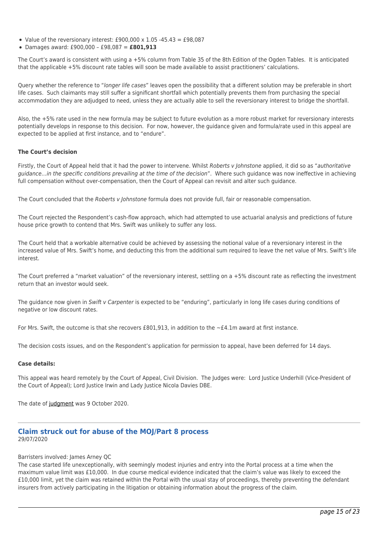- Value of the reversionary interest: £900,000 x 1.05 -45.43 = £98,087
- Damages award: £900,000 £98,087 = **£801,913**

The Court's award is consistent with using a +5% column from Table 35 of the 8th Edition of the Ogden Tables. It is anticipated that the applicable +5% discount rate tables will soon be made available to assist practitioners' calculations.

Query whether the reference to "longer life cases" leaves open the possibility that a different solution may be preferable in short life cases. Such claimants may still suffer a significant shortfall which potentially prevents them from purchasing the special accommodation they are adjudged to need, unless they are actually able to sell the reversionary interest to bridge the shortfall.

Also, the +5% rate used in the new formula may be subject to future evolution as a more robust market for reversionary interests potentially develops in response to this decision. For now, however, the guidance given and formula/rate used in this appeal are expected to be applied at first instance, and to "endure".

#### **The Court's decision**

Firstly, the Court of Appeal held that it had the power to intervene. Whilst Roberts y Johnstone applied, it did so as "authoritative guidance…in the specific conditions prevailing at the time of the decision". Where such guidance was now ineffective in achieving full compensation without over-compensation, then the Court of Appeal can revisit and alter such guidance.

The Court concluded that the Roberts v Johnstone formula does not provide full, fair or reasonable compensation.

The Court rejected the Respondent's cash-flow approach, which had attempted to use actuarial analysis and predictions of future house price growth to contend that Mrs. Swift was unlikely to suffer any loss.

The Court held that a workable alternative could be achieved by assessing the notional value of a reversionary interest in the increased value of Mrs. Swift's home, and deducting this from the additional sum required to leave the net value of Mrs. Swift's life interest.

The Court preferred a "market valuation" of the reversionary interest, settling on a +5% discount rate as reflecting the investment return that an investor would seek.

The guidance now given in Swift v Carpenter is expected to be "enduring", particularly in long life cases during conditions of negative or low discount rates.

For Mrs. Swift, the outcome is that she recovers £801,913, in addition to the  $\sim$ £4.1m award at first instance.

The decision costs issues, and on the Respondent's application for permission to appeal, have been deferred for 14 days.

#### **Case details:**

This appeal was heard remotely by the Court of Appeal, Civil Division. The Judges were: Lord Justice Underhill (Vice-President of the Court of Appeal); Lord Justice Irwin and Lady Justice Nicola Davies DBE.

The date of [judgment](https://tgchambers.com/wp-content/uploads/2020/10/SWIFT-JUDGMENT.pdf) was 9 October 2020.

#### **Claim struck out for abuse of the MOJ/Part 8 process** 29/07/2020

Barristers involved: James Arney QC

The case started life unexceptionally, with seemingly modest injuries and entry into the Portal process at a time when the maximum value limit was £10,000. In due course medical evidence indicated that the claim's value was likely to exceed the £10,000 limit, yet the claim was retained within the Portal with the usual stay of proceedings, thereby preventing the defendant insurers from actively participating in the litigation or obtaining information about the progress of the claim.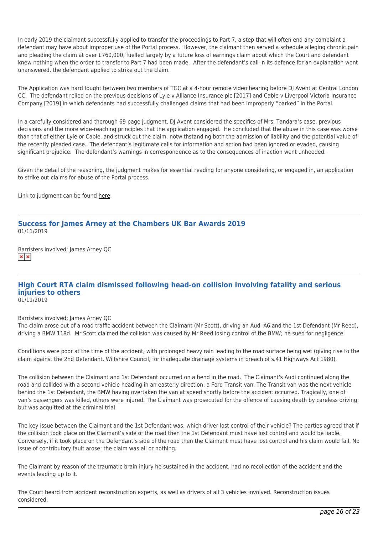In early 2019 the claimant successfully applied to transfer the proceedings to Part 7, a step that will often end any complaint a defendant may have about improper use of the Portal process. However, the claimant then served a schedule alleging chronic pain and pleading the claim at over £760,000, fuelled largely by a future loss of earnings claim about which the Court and defendant knew nothing when the order to transfer to Part 7 had been made. After the defendant's call in its defence for an explanation went unanswered, the defendant applied to strike out the claim.

The Application was hard fought between two members of TGC at a 4-hour remote video hearing before DJ Avent at Central London CC. The defendant relied on the previous decisions of Lyle v Alliance Insurance plc [2017] and Cable v Liverpool Victoria Insurance Company [2019] in which defendants had successfully challenged claims that had been improperly "parked" in the Portal.

In a carefully considered and thorough 69 page judgment, DJ Avent considered the specifics of Mrs. Tandara's case, previous decisions and the more wide-reaching principles that the application engaged. He concluded that the abuse in this case was worse than that of either Lyle or Cable, and struck out the claim, notwithstanding both the admission of liability and the potential value of the recently pleaded case. The defendant's legitimate calls for information and action had been ignored or evaded, causing significant prejudice. The defendant's warnings in correspondence as to the consequences of inaction went unheeded.

Given the detail of the reasoning, the judgment makes for essential reading for anyone considering, or engaged in, an application to strike out claims for abuse of the Portal process.

Link to judgment can be found [here.](https://tgchambers.com/wp-content/uploads/2020/07/TANDARA-FINAL-JUDGMENT-handed-down.pdf)

## **Success for James Arney at the Chambers UK Bar Awards 2019** 01/11/2019

Barristers involved: James Arney QC  $\mathbf{x}|\mathbf{x}$ 

# **High Court RTA claim dismissed following head-on collision involving fatality and serious injuries to others**

01/11/2019

Barristers involved: James Arney QC

The claim arose out of a road traffic accident between the Claimant (Mr Scott), driving an Audi A6 and the 1st Defendant (Mr Reed), driving a BMW 118d. Mr Scott claimed the collision was caused by Mr Reed losing control of the BMW; he sued for negligence.

Conditions were poor at the time of the accident, with prolonged heavy rain leading to the road surface being wet (giving rise to the claim against the 2nd Defendant, Wiltshire Council, for inadequate drainage systems in breach of s.41 Highways Act 1980).

The collision between the Claimant and 1st Defendant occurred on a bend in the road. The Claimant's Audi continued along the road and collided with a second vehicle heading in an easterly direction: a Ford Transit van. The Transit van was the next vehicle behind the 1st Defendant, the BMW having overtaken the van at speed shortly before the accident occurred. Tragically, one of van's passengers was killed, others were injured. The Claimant was prosecuted for the offence of causing death by careless driving; but was acquitted at the criminal trial.

The key issue between the Claimant and the 1st Defendant was: which driver lost control of their vehicle? The parties agreed that if the collision took place on the Claimant's side of the road then the 1st Defendant must have lost control and would be liable. Conversely, if it took place on the Defendant's side of the road then the Claimant must have lost control and his claim would fail. No issue of contributory fault arose: the claim was all or nothing.

The Claimant by reason of the traumatic brain injury he sustained in the accident, had no recollection of the accident and the events leading up to it.

The Court heard from accident reconstruction experts, as well as drivers of all 3 vehicles involved. Reconstruction issues considered: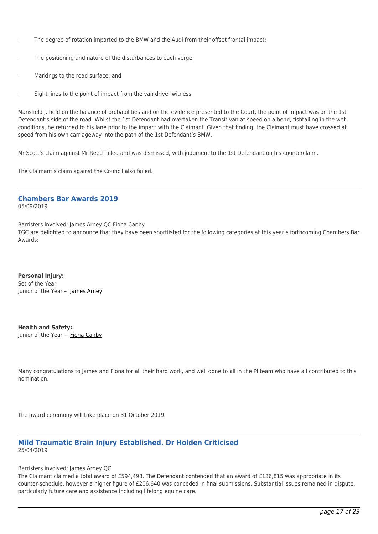- · The degree of rotation imparted to the BMW and the Audi from their offset frontal impact;
- The positioning and nature of the disturbances to each verge;
- Markings to the road surface; and
- Sight lines to the point of impact from the van driver witness.

Mansfield J. held on the balance of probabilities and on the evidence presented to the Court, the point of impact was on the 1st Defendant's side of the road. Whilst the 1st Defendant had overtaken the Transit van at speed on a bend, fishtailing in the wet conditions, he returned to his lane prior to the impact with the Claimant. Given that finding, the Claimant must have crossed at speed from his own carriageway into the path of the 1st Defendant's BMW.

Mr Scott's claim against Mr Reed failed and was dismissed, with judgment to the 1st Defendant on his counterclaim.

The Claimant's claim against the Council also failed.

# **Chambers Bar Awards 2019**

05/09/2019

Barristers involved: James Arney QC Fiona Canby

TGC are delighted to announce that they have been shortlisted for the following categories at this year's forthcoming Chambers Bar Awards:

**Personal Injury:**  Set of the Year Junior of the Year - [James Arney](https://tgchambers.com/member-profile/james-arney/)

**Health and Safety:** Junior of the Year - [Fiona Canby](https://tgchambers.com/member-profile/fiona-canby/)

Many congratulations to James and Fiona for all their hard work, and well done to all in the PI team who have all contributed to this nomination.

The award ceremony will take place on 31 October 2019.

# **Mild Traumatic Brain Injury Established. Dr Holden Criticised** 25/04/2019

Barristers involved: James Arney QC

The Claimant claimed a total award of £594,498. The Defendant contended that an award of £136,815 was appropriate in its counter-schedule, however a higher figure of £206,640 was conceded in final submissions. Substantial issues remained in dispute, particularly future care and assistance including lifelong equine care.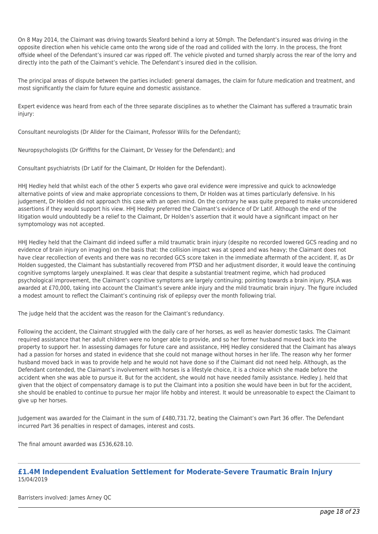On 8 May 2014, the Claimant was driving towards Sleaford behind a lorry at 50mph. The Defendant's insured was driving in the opposite direction when his vehicle came onto the wrong side of the road and collided with the lorry. In the process, the front offside wheel of the Defendant's insured car was ripped off. The vehicle pivoted and turned sharply across the rear of the lorry and directly into the path of the Claimant's vehicle. The Defendant's insured died in the collision.

The principal areas of dispute between the parties included: general damages, the claim for future medication and treatment, and most significantly the claim for future equine and domestic assistance.

Expert evidence was heard from each of the three separate disciplines as to whether the Claimant has suffered a traumatic brain injury:

Consultant neurologists (Dr Allder for the Claimant, Professor Wills for the Defendant);

Neuropsychologists (Dr Griffiths for the Claimant, Dr Vessey for the Defendant); and

Consultant psychiatrists (Dr Latif for the Claimant, Dr Holden for the Defendant).

HHJ Hedley held that whilst each of the other 5 experts who gave oral evidence were impressive and quick to acknowledge alternative points of view and make appropriate concessions to them, Dr Holden was at times particularly defensive. In his judgement, Dr Holden did not approach this case with an open mind. On the contrary he was quite prepared to make unconsidered assertions if they would support his view. HHJ Hedley preferred the Claimant's evidence of Dr Latif. Although the end of the litigation would undoubtedly be a relief to the Claimant, Dr Holden's assertion that it would have a significant impact on her symptomology was not accepted.

HHJ Hedley held that the Claimant did indeed suffer a mild traumatic brain injury (despite no recorded lowered GCS reading and no evidence of brain injury on imaging) on the basis that: the collision impact was at speed and was heavy; the Claimant does not have clear recollection of events and there was no recorded GCS score taken in the immediate aftermath of the accident. If, as Dr Holden suggested, the Claimant has substantially recovered from PTSD and her adjustment disorder, it would leave the continuing cognitive symptoms largely unexplained. It was clear that despite a substantial treatment regime, which had produced psychological improvement, the Claimant's cognitive symptoms are largely continuing; pointing towards a brain injury. PSLA was awarded at £70,000, taking into account the Claimant's severe ankle injury and the mild traumatic brain injury. The figure included a modest amount to reflect the Claimant's continuing risk of epilepsy over the month following trial.

The judge held that the accident was the reason for the Claimant's redundancy.

Following the accident, the Claimant struggled with the daily care of her horses, as well as heavier domestic tasks. The Claimant required assistance that her adult children were no longer able to provide, and so her former husband moved back into the property to support her. In assessing damages for future care and assistance, HHJ Hedley considered that the Claimant has always had a passion for horses and stated in evidence that she could not manage without horses in her life. The reason why her former husband moved back in was to provide help and he would not have done so if the Claimant did not need help. Although, as the Defendant contended, the Claimant's involvement with horses is a lifestyle choice, it is a choice which she made before the accident when she was able to pursue it. But for the accident, she would not have needed family assistance. Hedley J. held that given that the object of compensatory damage is to put the Claimant into a position she would have been in but for the accident, she should be enabled to continue to pursue her major life hobby and interest. It would be unreasonable to expect the Claimant to give up her horses.

Judgement was awarded for the Claimant in the sum of £480,731.72, beating the Claimant's own Part 36 offer. The Defendant incurred Part 36 penalties in respect of damages, interest and costs.

The final amount awarded was £536,628.10.

# **£1.4M Independent Evaluation Settlement for Moderate-Severe Traumatic Brain Injury** 15/04/2019

Barristers involved: James Arney QC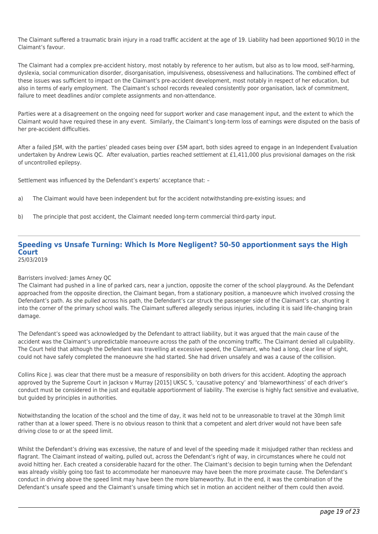The Claimant suffered a traumatic brain injury in a road traffic accident at the age of 19. Liability had been apportioned 90/10 in the Claimant's favour.

The Claimant had a complex pre-accident history, most notably by reference to her autism, but also as to low mood, self-harming, dyslexia, social communication disorder, disorganisation, impulsiveness, obsessiveness and hallucinations. The combined effect of these issues was sufficient to impact on the Claimant's pre-accident development, most notably in respect of her education, but also in terms of early employment. The Claimant's school records revealed consistently poor organisation, lack of commitment, failure to meet deadlines and/or complete assignments and non-attendance.

Parties were at a disagreement on the ongoing need for support worker and case management input, and the extent to which the Claimant would have required these in any event. Similarly, the Claimant's long-term loss of earnings were disputed on the basis of her pre-accident difficulties.

After a failed JSM, with the parties' pleaded cases being over £5M apart, both sides agreed to engage in an Independent Evaluation undertaken by Andrew Lewis QC. After evaluation, parties reached settlement at £1,411,000 plus provisional damages on the risk of uncontrolled epilepsy.

Settlement was influenced by the Defendant's experts' acceptance that: –

- a) The Claimant would have been independent but for the accident notwithstanding pre-existing issues; and
- b) The principle that post accident, the Claimant needed long-term commercial third-party input.

#### **Speeding vs Unsafe Turning: Which Is More Negligent? 50-50 apportionment says the High Court** 25/03/2019

#### Barristers involved: James Arney QC

The Claimant had pushed in a line of parked cars, near a junction, opposite the corner of the school playground. As the Defendant approached from the opposite direction, the Claimant began, from a stationary position, a manoeuvre which involved crossing the Defendant's path. As she pulled across his path, the Defendant's car struck the passenger side of the Claimant's car, shunting it into the corner of the primary school walls. The Claimant suffered allegedly serious injuries, including it is said life-changing brain damage.

The Defendant's speed was acknowledged by the Defendant to attract liability, but it was argued that the main cause of the accident was the Claimant's unpredictable manoeuvre across the path of the oncoming traffic. The Claimant denied all culpability. The Court held that although the Defendant was travelling at excessive speed, the Claimant, who had a long, clear line of sight, could not have safely completed the manoeuvre she had started. She had driven unsafely and was a cause of the collision.

Collins Rice J. was clear that there must be a measure of responsibility on both drivers for this accident. Adopting the approach approved by the Supreme Court in Jackson v Murray [2015] UKSC 5, 'causative potency' and 'blameworthiness' of each driver's conduct must be considered in the just and equitable apportionment of liability. The exercise is highly fact sensitive and evaluative, but guided by principles in authorities.

Notwithstanding the location of the school and the time of day, it was held not to be unreasonable to travel at the 30mph limit rather than at a lower speed. There is no obvious reason to think that a competent and alert driver would not have been safe driving close to or at the speed limit.

Whilst the Defendant's driving was excessive, the nature of and level of the speeding made it misjudged rather than reckless and flagrant. The Claimant instead of waiting, pulled out, across the Defendant's right of way, in circumstances where he could not avoid hitting her. Each created a considerable hazard for the other. The Claimant's decision to begin turning when the Defendant was already visibly going too fast to accommodate her manoeuvre may have been the more proximate cause. The Defendant's conduct in driving above the speed limit may have been the more blameworthy. But in the end, it was the combination of the Defendant's unsafe speed and the Claimant's unsafe timing which set in motion an accident neither of them could then avoid.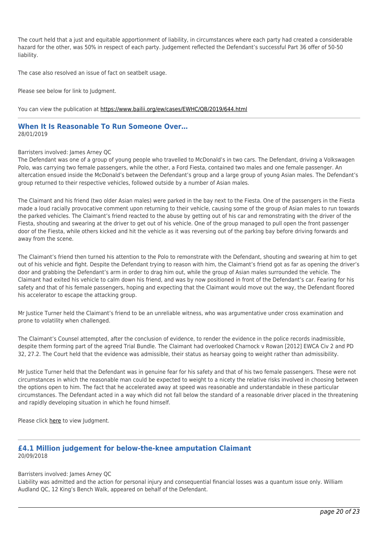The court held that a just and equitable apportionment of liability, in circumstances where each party had created a considerable hazard for the other, was 50% in respect of each party. Judgement reflected the Defendant's successful Part 36 offer of 50-50 liability.

The case also resolved an issue of fact on seatbelt usage.

Please see below for link to Judgment.

You can view the publication at<https://www.bailii.org/ew/cases/EWHC/QB/2019/644.html>

#### **When It Is Reasonable To Run Someone Over…** 28/01/2019

#### Barristers involved: James Arney QC

The Defendant was one of a group of young people who travelled to McDonald's in two cars. The Defendant, driving a Volkswagen Polo, was carrying two female passengers, while the other, a Ford Fiesta, contained two males and one female passenger. An altercation ensued inside the McDonald's between the Defendant's group and a large group of young Asian males. The Defendant's group returned to their respective vehicles, followed outside by a number of Asian males.

The Claimant and his friend (two older Asian males) were parked in the bay next to the Fiesta. One of the passengers in the Fiesta made a loud racially provocative comment upon returning to their vehicle, causing some of the group of Asian males to run towards the parked vehicles. The Claimant's friend reacted to the abuse by getting out of his car and remonstrating with the driver of the Fiesta, shouting and swearing at the driver to get out of his vehicle. One of the group managed to pull open the front passenger door of the Fiesta, while others kicked and hit the vehicle as it was reversing out of the parking bay before driving forwards and away from the scene.

The Claimant's friend then turned his attention to the Polo to remonstrate with the Defendant, shouting and swearing at him to get out of his vehicle and fight. Despite the Defendant trying to reason with him, the Claimant's friend got as far as opening the driver's door and grabbing the Defendant's arm in order to drag him out, while the group of Asian males surrounded the vehicle. The Claimant had exited his vehicle to calm down his friend, and was by now positioned in front of the Defendant's car. Fearing for his safety and that of his female passengers, hoping and expecting that the Claimant would move out the way, the Defendant floored his accelerator to escape the attacking group.

Mr Justice Turner held the Claimant's friend to be an unreliable witness, who was argumentative under cross examination and prone to volatility when challenged.

The Claimant's Counsel attempted, after the conclusion of evidence, to render the evidence in the police records inadmissible, despite them forming part of the agreed Trial Bundle. The Claimant had overlooked Charnock v Rowan [2012] EWCA Civ 2 and PD 32, 27.2. The Court held that the evidence was admissible, their status as hearsay going to weight rather than admissibility.

Mr Justice Turner held that the Defendant was in genuine fear for his safety and that of his two female passengers. These were not circumstances in which the reasonable man could be expected to weight to a nicety the relative risks involved in choosing between the options open to him. The fact that he accelerated away at speed was reasonable and understandable in these particular circumstances. The Defendant acted in a way which did not fall below the standard of a reasonable driver placed in the threatening and rapidly developing situation in which he found himself.

Please click [here](http://www.bailii.org/ew/cases/EWHC/QB/2019/87.pdf) to view Judgment.

#### **£4.1 Million judgement for below-the-knee amputation Claimant** 20/09/2018

#### Barristers involved: James Arney QC

Liability was admitted and the action for personal injury and consequential financial losses was a quantum issue only. William Audland QC, 12 King's Bench Walk, appeared on behalf of the Defendant.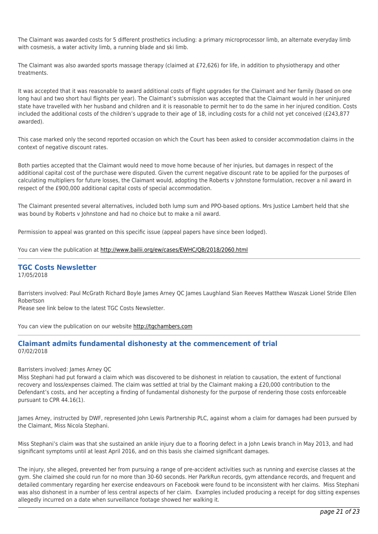The Claimant was awarded costs for 5 different prosthetics including: a primary microprocessor limb, an alternate everyday limb with cosmesis, a water activity limb, a running blade and ski limb.

The Claimant was also awarded sports massage therapy (claimed at £72,626) for life, in addition to physiotherapy and other treatments.

It was accepted that it was reasonable to award additional costs of flight upgrades for the Claimant and her family (based on one long haul and two short haul flights per year). The Claimant's submission was accepted that the Claimant would in her uninjured state have travelled with her husband and children and it is reasonable to permit her to do the same in her injured condition. Costs included the additional costs of the children's upgrade to their age of 18, including costs for a child not yet conceived (£243,877 awarded).

This case marked only the second reported occasion on which the Court has been asked to consider accommodation claims in the context of negative discount rates.

Both parties accepted that the Claimant would need to move home because of her injuries, but damages in respect of the additional capital cost of the purchase were disputed. Given the current negative discount rate to be applied for the purposes of calculating multipliers for future losses, the Claimant would, adopting the Roberts v Johnstone formulation, recover a nil award in respect of the £900,000 additional capital costs of special accommodation.

The Claimant presented several alternatives, included both lump sum and PPO-based options. Mrs Justice Lambert held that she was bound by Roberts v Johnstone and had no choice but to make a nil award.

Permission to appeal was granted on this specific issue (appeal papers have since been lodged).

You can view the publication at<http://www.bailii.org/ew/cases/EWHC/QB/2018/2060.html>

#### **TGC Costs Newsletter** 17/05/2018

Barristers involved: Paul McGrath Richard Boyle James Arney QC James Laughland Sian Reeves Matthew Waszak Lionel Stride Ellen Robertson

Please see link below to the latest TGC Costs Newsletter.

You can view the publication on our website [http://tgchambers.com](https://tgchambers.com/wp-content/uploads/2018/05/TGC039_Costs_Newsletter_v2.pdf)

## **Claimant admits fundamental dishonesty at the commencement of trial** 07/02/2018

Barristers involved: James Arney QC

Miss Stephani had put forward a claim which was discovered to be dishonest in relation to causation, the extent of functional recovery and loss/expenses claimed. The claim was settled at trial by the Claimant making a £20,000 contribution to the Defendant's costs, and her accepting a finding of fundamental dishonesty for the purpose of rendering those costs enforceable pursuant to CPR 44.16(1).

James Arney, instructed by DWF, represented John Lewis Partnership PLC, against whom a claim for damages had been pursued by the Claimant, Miss Nicola Stephani.

Miss Stephani's claim was that she sustained an ankle injury due to a flooring defect in a John Lewis branch in May 2013, and had significant symptoms until at least April 2016, and on this basis she claimed significant damages.

The injury, she alleged, prevented her from pursuing a range of pre-accident activities such as running and exercise classes at the gym. She claimed she could run for no more than 30-60 seconds. Her ParkRun records, gym attendance records, and frequent and detailed commentary regarding her exercise endeavours on Facebook were found to be inconsistent with her claims. Miss Stephani was also dishonest in a number of less central aspects of her claim. Examples included producing a receipt for dog sitting expenses allegedly incurred on a date when surveillance footage showed her walking it.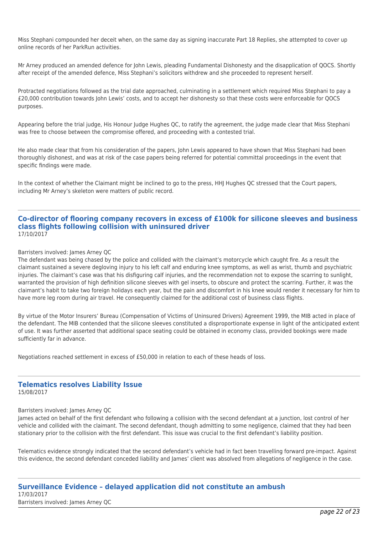Miss Stephani compounded her deceit when, on the same day as signing inaccurate Part 18 Replies, she attempted to cover up online records of her ParkRun activities.

Mr Arney produced an amended defence for John Lewis, pleading Fundamental Dishonesty and the disapplication of QOCS. Shortly after receipt of the amended defence, Miss Stephani's solicitors withdrew and she proceeded to represent herself.

Protracted negotiations followed as the trial date approached, culminating in a settlement which required Miss Stephani to pay a £20,000 contribution towards John Lewis' costs, and to accept her dishonesty so that these costs were enforceable for QOCS purposes.

Appearing before the trial judge, His Honour Judge Hughes QC, to ratify the agreement, the judge made clear that Miss Stephani was free to choose between the compromise offered, and proceeding with a contested trial.

He also made clear that from his consideration of the papers, John Lewis appeared to have shown that Miss Stephani had been thoroughly dishonest, and was at risk of the case papers being referred for potential committal proceedings in the event that specific findings were made.

In the context of whether the Claimant might be inclined to go to the press, HHJ Hughes QC stressed that the Court papers, including Mr Arney's skeleton were matters of public record.

#### **Co-director of flooring company recovers in excess of £100k for silicone sleeves and business class flights following collision with uninsured driver** 17/10/2017

#### Barristers involved: James Arney QC

The defendant was being chased by the police and collided with the claimant's motorcycle which caught fire. As a result the claimant sustained a severe degloving injury to his left calf and enduring knee symptoms, as well as wrist, thumb and psychiatric injuries. The claimant's case was that his disfiguring calf injuries, and the recommendation not to expose the scarring to sunlight, warranted the provision of high definition silicone sleeves with gel inserts, to obscure and protect the scarring. Further, it was the claimant's habit to take two foreign holidays each year, but the pain and discomfort in his knee would render it necessary for him to have more leg room during air travel. He consequently claimed for the additional cost of business class flights.

By virtue of the Motor Insurers' Bureau (Compensation of Victims of Uninsured Drivers) Agreement 1999, the MIB acted in place of the defendant. The MIB contended that the silicone sleeves constituted a disproportionate expense in light of the anticipated extent of use. It was further asserted that additional space seating could be obtained in economy class, provided bookings were made sufficiently far in advance.

Negotiations reached settlement in excess of £50,000 in relation to each of these heads of loss.

# **Telematics resolves Liability Issue**

15/08/2017

#### Barristers involved: James Arney QC

James acted on behalf of the first defendant who following a collision with the second defendant at a junction, lost control of her vehicle and collided with the claimant. The second defendant, though admitting to some negligence, claimed that they had been stationary prior to the collision with the first defendant. This issue was crucial to the first defendant's liability position.

Telematics evidence strongly indicated that the second defendant's vehicle had in fact been travelling forward pre-impact. Against this evidence, the second defendant conceded liability and James' client was absolved from allegations of negligence in the case.